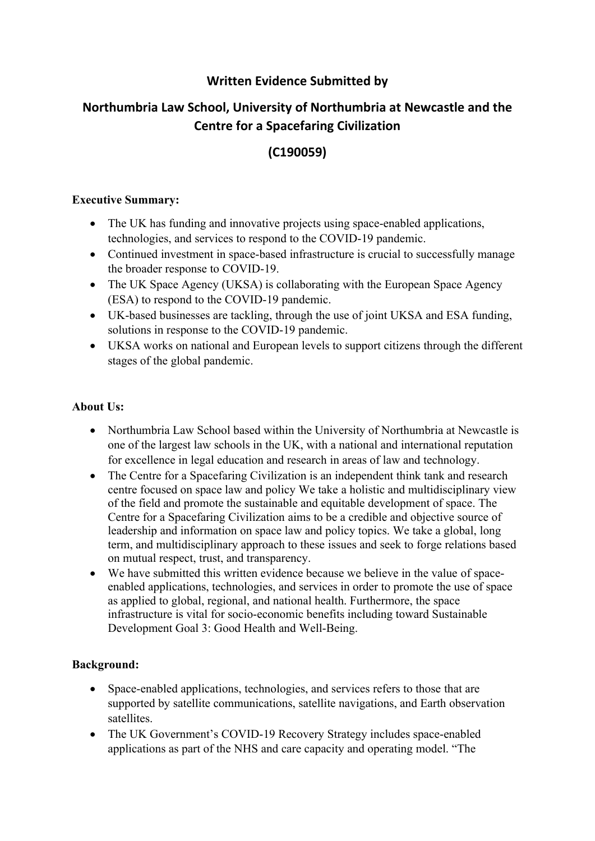### **Written Evidence Submitted by**

# **Northumbria Law School, University of Northumbria at Newcastle and the Centre for a Spacefaring Civilization**

## **(C190059)**

#### **Executive Summary:**

- The UK has funding and innovative projects using space-enabled applications, technologies, and services to respond to the COVID-19 pandemic.
- Continued investment in space-based infrastructure is crucial to successfully manage the broader response to COVID-19.
- The UK Space Agency (UKSA) is collaborating with the European Space Agency (ESA) to respond to the COVID-19 pandemic.
- UK-based businesses are tackling, through the use of joint UKSA and ESA funding, solutions in response to the COVID-19 pandemic.
- UKSA works on national and European levels to support citizens through the different stages of the global pandemic.

#### **About Us:**

- Northumbria Law School based within the University of Northumbria at Newcastle is one of the largest law schools in the UK, with a national and international reputation for excellence in legal education and research in areas of law and technology.
- The Centre for a Spacefaring Civilization is an independent think tank and research centre focused on space law and policy We take a holistic and multidisciplinary view of the field and promote the sustainable and equitable development of space. The Centre for a Spacefaring Civilization aims to be a credible and objective source of leadership and information on space law and policy topics. We take a global, long term, and multidisciplinary approach to these issues and seek to forge relations based on mutual respect, trust, and transparency.
- We have submitted this written evidence because we believe in the value of spaceenabled applications, technologies, and services in order to promote the use of space as applied to global, regional, and national health. Furthermore, the space infrastructure is vital for socio-economic benefits including toward Sustainable Development Goal 3: Good Health and Well-Being.

### **Background:**

- Space-enabled applications, technologies, and services refers to those that are supported by satellite communications, satellite navigations, and Earth observation satellites.
- The UK Government's COVID-19 Recovery Strategy includes space-enabled applications as part of the NHS and care capacity and operating model. "The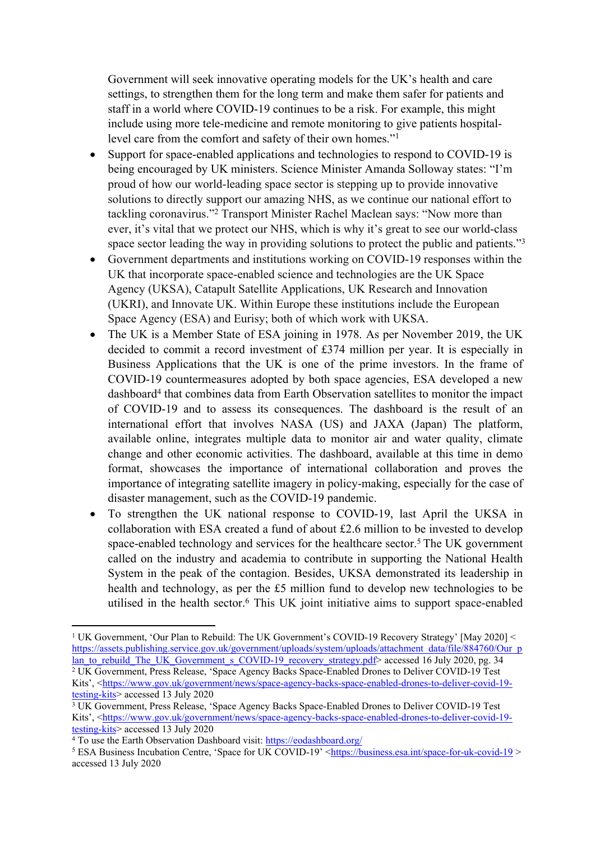Government will seek innovative operating models for the UK's health and care settings, to strengthen them for the long term and make them safer for patients and staff in a world where COVID-19 continues to be a risk. For example, this might include using more tele-medicine and remote monitoring to give patients hospitallevel care from the comfort and safety of their own homes."<sup>1</sup>

- Support for space-enabled applications and technologies to respond to COVID-19 is being encouraged by UK ministers. Science Minister Amanda Solloway states: "I'm proud of how our world-leading space sector is stepping up to provide innovative solutions to directly support our amazing NHS, as we continue our national effort to tackling coronavirus."<sup>2</sup> Transport Minister Rachel Maclean says: "Now more than ever, it's vital that we protect our NHS, which is why it's great to see our world-class space sector leading the way in providing solutions to protect the public and patients."<sup>3</sup>
- Government departments and institutions working on COVID-19 responses within the UK that incorporate space-enabled science and technologies are the UK Space Agency (UKSA), Catapult Satellite Applications, UK Research and Innovation (UKRI), and Innovate UK. Within Europe these institutions include the European Space Agency (ESA) and Eurisy; both of which work with UKSA.
- The UK is a Member State of ESA joining in 1978. As per November 2019, the UK decided to commit a record investment of £374 million per year. It is especially in Business Applications that the UK is one of the prime investors. In the frame of COVID-19 countermeasures adopted by both space agencies, ESA developed a new dashboard<sup>4</sup> that combines data from Earth Observation satellites to monitor the impact of COVID-19 and to assess its consequences. The dashboard is the result of an international effort that involves NASA (US) and JAXA (Japan) The platform, available online, integrates multiple data to monitor air and water quality, climate change and other economic activities. The dashboard, available at this time in demo format, showcases the importance of international collaboration and proves the importance of integrating satellite imagery in policy-making, especially for the case of disaster management, such as the COVID-19 pandemic.
- To strengthen the UK national response to COVID-19, last April the UKSA in collaboration with ESA created a fund of about £2.6 million to be invested to develop space-enabled technology and services for the healthcare sector.<sup>5</sup> The UK government called on the industry and academia to contribute in supporting the National Health System in the peak of the contagion. Besides, UKSA demonstrated its leadership in health and technology, as per the £5 million fund to develop new technologies to be utilised in the health sector.<sup>6</sup> This UK joint initiative aims to support space-enabled

<sup>1</sup> UK Government, 'Our Plan to Rebuild: The UK Government's COVID-19 Recovery Strategy' [May 2020] < [https://assets.publishing.service.gov.uk/government/uploads/system/uploads/attachment\\_data/file/884760/Our\\_p](https://assets.publishing.service.gov.uk/government/uploads/system/uploads/attachment_data/file/884760/Our_plan_to_rebuild_The_UK_Government_s_COVID-19_recovery_strategy.pdf) [lan\\_to\\_rebuild\\_The\\_UK\\_Government\\_s\\_COVID-19\\_recovery\\_strategy.pdf>](https://assets.publishing.service.gov.uk/government/uploads/system/uploads/attachment_data/file/884760/Our_plan_to_rebuild_The_UK_Government_s_COVID-19_recovery_strategy.pdf) accessed 16 July 2020, pg. 34 <sup>2</sup> UK Government, Press Release, 'Space Agency Backs Space-Enabled Drones to Deliver COVID-19 Test Kits', <[https://www.gov.uk/government/news/space-agency-backs-space-enabled-drones-to-deliver-covid-19](https://www.gov.uk/government/news/space-agency-backs-space-enabled-drones-to-deliver-covid-19-testing-kits) [testing-kits](https://www.gov.uk/government/news/space-agency-backs-space-enabled-drones-to-deliver-covid-19-testing-kits)> accessed 13 July 2020

<sup>&</sup>lt;sup>3</sup> UK Government, Press Release, 'Space Agency Backs Space-Enabled Drones to Deliver COVID-19 Test Kits', <[https://www.gov.uk/government/news/space-agency-backs-space-enabled-drones-to-deliver-covid-19](https://www.gov.uk/government/news/space-agency-backs-space-enabled-drones-to-deliver-covid-19-testing-kits) [testing-kits](https://www.gov.uk/government/news/space-agency-backs-space-enabled-drones-to-deliver-covid-19-testing-kits)> accessed 13 July 2020

<sup>&</sup>lt;sup>4</sup> To use the Earth Observation Dashboard visit: <https://eodashboard.org/>

<sup>5</sup> ESA Business Incubation Centre, 'Space for UK COVID-19' [<https://business.esa.int/space-for-uk-covid-19](https://business.esa.int/space-for-uk-covid-19) > accessed 13 July 2020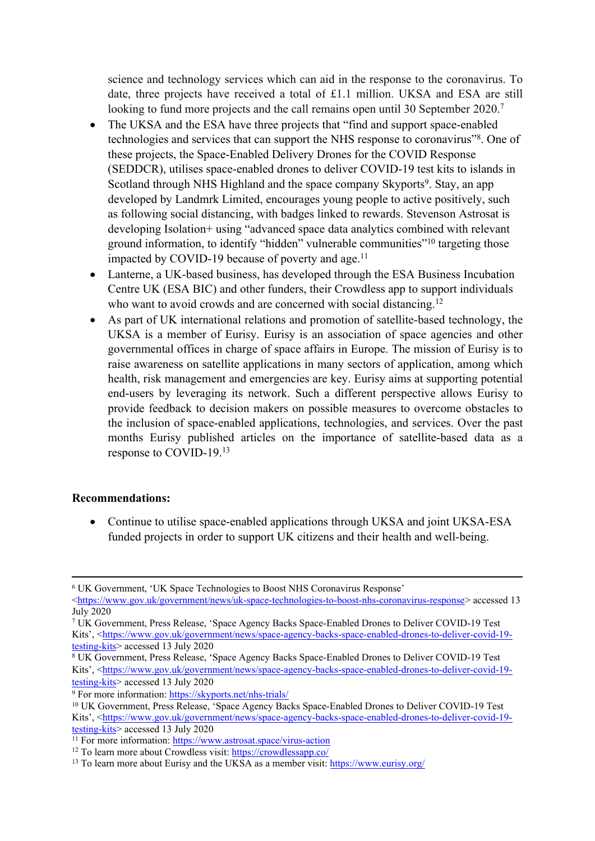science and technology services which can aid in the response to the coronavirus. To date, three projects have received a total of £1.1 million. UKSA and ESA are still looking to fund more projects and the call remains open until 30 September 2020.<sup>7</sup>

- The UKSA and the ESA have three projects that "find and support space-enabled technologies and services that can support the NHS response to coronavirus"<sup>8</sup> . One of these projects, the Space-Enabled Delivery Drones for the COVID Response (SEDDCR), utilises space-enabled drones to deliver COVID-19 test kits to islands in Scotland through NHS Highland and the space company Skyports<sup>9</sup>. Stay, an app developed by Landmrk Limited, encourages young people to active positively, such as following social distancing, with badges linked to rewards. Stevenson Astrosat is developing Isolation+ using "advanced space data analytics combined with relevant ground information, to identify "hidden" vulnerable communities"<sup>10</sup> targeting those impacted by COVID-19 because of poverty and age. $11$
- Lanterne, a UK-based business, has developed through the ESA Business Incubation Centre UK (ESA BIC) and other funders, their Crowdless app to support individuals who want to avoid crowds and are concerned with social distancing.<sup>12</sup>
- As part of UK international relations and promotion of satellite-based technology, the UKSA is a member of Eurisy. Eurisy is an association of space agencies and other governmental offices in charge of space affairs in Europe. The mission of Eurisy is to raise awareness on satellite applications in many sectors of application, among which health, risk management and emergencies are key. Eurisy aims at supporting potential end-users by leveraging its network. Such a different perspective allows Eurisy to provide feedback to decision makers on possible measures to overcome obstacles to the inclusion of space-enabled applications, technologies, and services. Over the past months Eurisy published articles on the importance of satellite-based data as a response to COVID-19.<sup>13</sup>

#### **Recommendations:**

• Continue to utilise space-enabled applications through UKSA and joint UKSA-ESA funded projects in order to support UK citizens and their health and well-being.

<sup>9</sup> For more information: <https://skyports.net/nhs-trials/>

<sup>6</sup> UK Government, 'UK Space Technologies to Boost NHS Coronavirus Response'

<sup>&</sup>lt;<https://www.gov.uk/government/news/uk-space-technologies-to-boost-nhs-coronavirus-response>> accessed 13 July 2020

<sup>7</sup> UK Government, Press Release, 'Space Agency Backs Space-Enabled Drones to Deliver COVID-19 Test Kits', <[https://www.gov.uk/government/news/space-agency-backs-space-enabled-drones-to-deliver-covid-19](https://www.gov.uk/government/news/space-agency-backs-space-enabled-drones-to-deliver-covid-19-testing-kits) [testing-kits](https://www.gov.uk/government/news/space-agency-backs-space-enabled-drones-to-deliver-covid-19-testing-kits)> accessed 13 July 2020

<sup>8</sup> UK Government, Press Release, 'Space Agency Backs Space-Enabled Drones to Deliver COVID-19 Test Kits', <[https://www.gov.uk/government/news/space-agency-backs-space-enabled-drones-to-deliver-covid-19](https://www.gov.uk/government/news/space-agency-backs-space-enabled-drones-to-deliver-covid-19-testing-kits) [testing-kits](https://www.gov.uk/government/news/space-agency-backs-space-enabled-drones-to-deliver-covid-19-testing-kits)> accessed 13 July 2020

<sup>&</sup>lt;sup>10</sup> UK Government, Press Release, 'Space Agency Backs Space-Enabled Drones to Deliver COVID-19 Test Kits', <[https://www.gov.uk/government/news/space-agency-backs-space-enabled-drones-to-deliver-covid-19](https://www.gov.uk/government/news/space-agency-backs-space-enabled-drones-to-deliver-covid-19-testing-kits) [testing-kits](https://www.gov.uk/government/news/space-agency-backs-space-enabled-drones-to-deliver-covid-19-testing-kits)> accessed 13 July 2020

 $\frac{11}{11}$  For more information: <https://www.astrosat.space/virus-action>

<sup>12</sup> To learn more about Crowdless visit: <https://crowdlessapp.co/>

<sup>13</sup> To learn more about Eurisy and the UKSA as a member visit: <https://www.eurisy.org/>